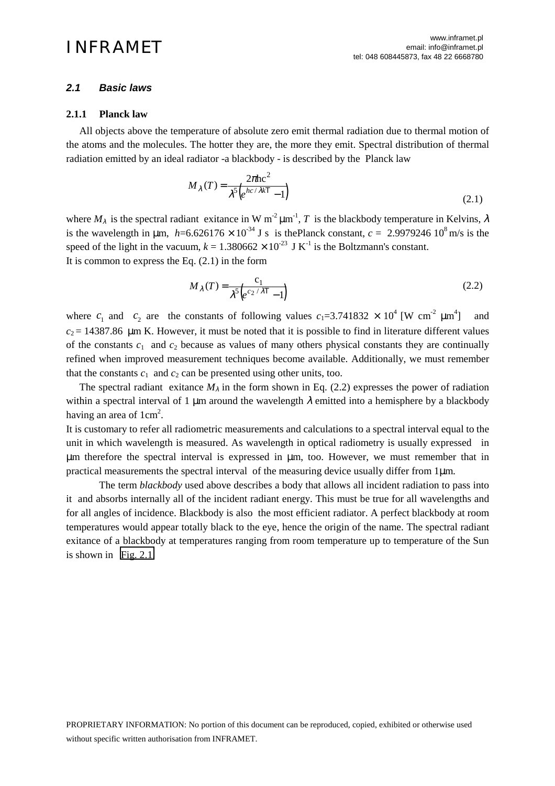# *2.1 Basic laws*

## **2.1.1 Planck law**

 All objects above the temperature of absolute zero emit thermal radiation due to thermal motion of the atoms and the molecules. The hotter they are, the more they emit. Spectral distribution of thermal radiation emitted by an ideal radiator -a blackbody - is described by the Planck law

$$
M_{\lambda}(T) = \frac{2\pi\hbar c^2}{\lambda^5 \left(e^{hc/\lambda kT} - 1\right)}\tag{2.1}
$$

where  $M_{\lambda}$  is the spectral radiant exitance in W m<sup>-2</sup>  $\mu$ m<sup>-1</sup>, T is the blackbody temperature in Kelvins,  $\lambda$ is the wavelength in  $\mu$ m, *h*=6.626176 × 10<sup>-34</sup> J s is thePlanck constant, *c* = 2.9979246 10<sup>8</sup> m/s is the speed of the light in the vacuum,  $k = 1.380662 \times 10^{-23}$  J K<sup>-1</sup> is the Boltzmann's constant. It is common to express the Eq.  $(2.1)$  in the form

$$
M_{\lambda}(T) = \frac{c_1}{\lambda^5 \left( e^{c_2/\lambda T} - 1 \right)}\tag{2.2}
$$

where  $c_1$  and  $c_2$  are the constants of following values  $c_1 = 3.741832 \times 10^4$  [W cm<sup>-2</sup>  $\mu$ m<sup>4</sup> ] and  $c_2$  = 14387.86  $\mu$ m K. However, it must be noted that it is possible to find in literature different values of the constants  $c_1$  and  $c_2$  because as values of many others physical constants they are continually refined when improved measurement techniques become available. Additionally, we must remember that the constants  $c_1$  and  $c_2$  can be presented using other units, too.

The spectral radiant exitance  $M_{\lambda}$  in the form shown in Eq. (2.2) expresses the power of radiation within a spectral interval of 1  $\mu$ m around the wavelength  $\lambda$  emitted into a hemisphere by a blackbody having an area of  $1 \text{cm}^2$ .

It is customary to refer all radiometric measurements and calculations to a spectral interval equal to the unit in which wavelength is measured. As wavelength in optical radiometry is usually expressed in µm therefore the spectral interval is expressed in µm, too. However, we must remember that in practical measurements the spectral interval of the measuring device usually differ from  $1\mu$ m.

The term *blackbody* used above describes a body that allows all incident radiation to pass into it and absorbs internally all of the incident radiant energy. This must be true for all wavelengths and for all angles of incidence. Blackbody is also the most efficient radiator. A perfect blackbody at room temperatures would appear totally black to the eye, hence the origin of the name. The spectral radiant exitance of a blackbody at temperatures ranging from room temperature up to temperature of the Sun is shown in [Fig. 2.1.](#page-1-0)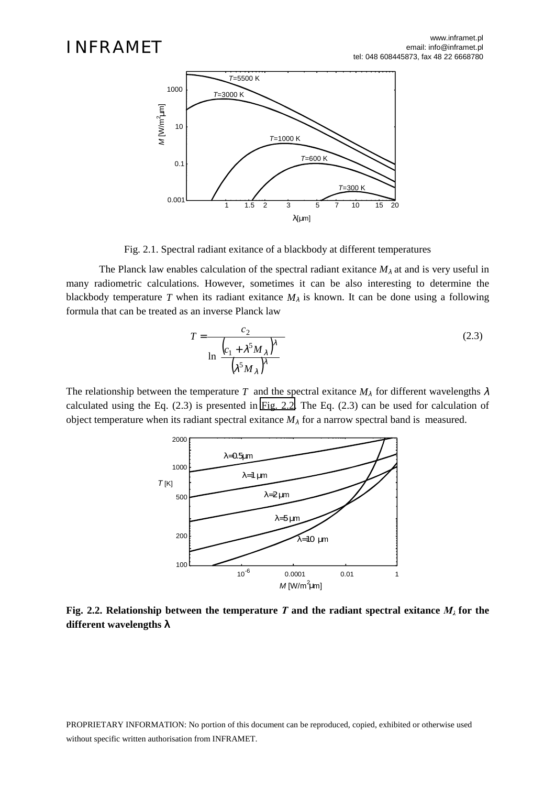<span id="page-1-0"></span>

Fig. 2.1. Spectral radiant exitance of a blackbody at different temperatures

The Planck law enables calculation of the spectral radiant exitance  $M_\lambda$  at and is very useful in many radiometric calculations. However, sometimes it can be also interesting to determine the blackbody temperature *T* when its radiant exitance  $M<sub>\lambda</sub>$  is known. It can be done using a following formula that can be treated as an inverse Planck law

$$
T = \frac{c_2}{\ln\left[\frac{\left(c_1 + \lambda^5 M_\lambda\right)^{\lambda}}{\left(\lambda^5 M_\lambda\right)^{\lambda}}\right]}
$$
(2.3)

The relationship between the temperature *T* and the spectral exitance  $M_{\lambda}$  for different wavelengths  $\lambda$ calculated using the Eq. (2.3) is presented in Fig. 2.2. The Eq. (2.3) can be used for calculation of object temperature when its radiant spectral exitance  $M_\lambda$  for a narrow spectral band is measured.



**Fig. 2.2. Relationship between the temperature** *T* **and the radiant spectral exitance**  $M_{\lambda}$  **for the different wavelengths** λ

PROPRIETARY INFORMATION: No portion of this document can be reproduced, copied, exhibited or otherwise used without specific written authorisation from INFRAMET.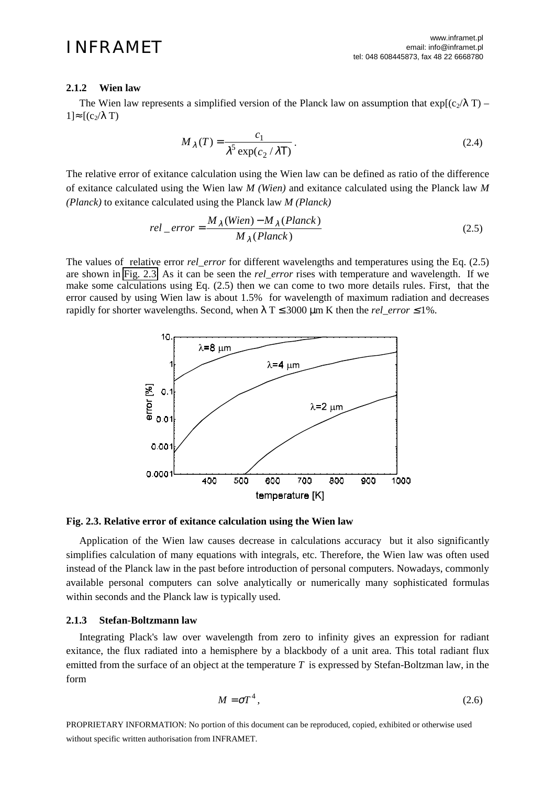## **2.1.2 Wien law**

The Wien law represents a simplified version of the Planck law on assumption that  $\exp[(c_2/\lambda T) 1]≈ [(c<sub>2</sub>/λ T)$ 

$$
M_{\lambda}(T) = \frac{c_1}{\lambda^5 \exp(c_2/\lambda T)}.
$$
 (2.4)

The relative error of exitance calculation using the Wien law can be defined as ratio of the difference of exitance calculated using the Wien law *M (Wien)* and exitance calculated using the Planck law *M (Planck)* to exitance calculated using the Planck law *M (Planck)*

$$
rel\_error = \frac{M_{\lambda}(Wien) - M_{\lambda}(Planck)}{M_{\lambda}(Planck)}
$$
\n(2.5)

The values of relative error *rel error* for different wavelengths and temperatures using the Eq. (2.5) are shown in Fig. 2.3. As it can be seen the *rel\_error* rises with temperature and wavelength. If we make some calculations using Eq. (2.5) then we can come to two more details rules. First, that the error caused by using Wien law is about 1.5% for wavelength of maximum radiation and decreases rapidly for shorter wavelengths. Second, when  $\lambda$  T  $\leq$  3000 µm K then the *rel\_error*  $\leq$  1%.



### **Fig. 2.3. Relative error of exitance calculation using the Wien law**

 Application of the Wien law causes decrease in calculations accuracy but it also significantly simplifies calculation of many equations with integrals, etc. Therefore, the Wien law was often used instead of the Planck law in the past before introduction of personal computers. Nowadays, commonly available personal computers can solve analytically or numerically many sophisticated formulas within seconds and the Planck law is typically used.

## **2.1.3 Stefan-Boltzmann law**

 Integrating Plack's law over wavelength from zero to infinity gives an expression for radiant exitance, the flux radiated into a hemisphere by a blackbody of a unit area. This total radiant flux emitted from the surface of an object at the temperature *T* is expressed by Stefan-Boltzman law, in the form

$$
M = \sigma T^4, \tag{2.6}
$$

PROPRIETARY INFORMATION: No portion of this document can be reproduced, copied, exhibited or otherwise used without specific written authorisation from INFRAMET.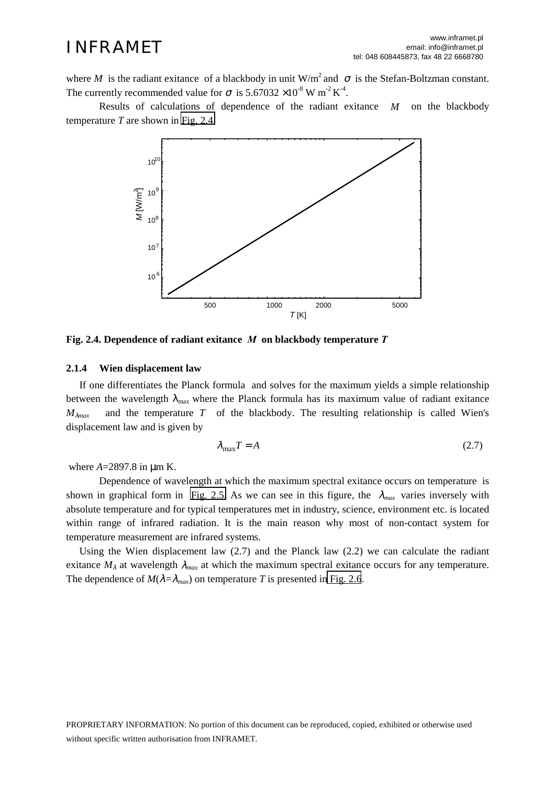where *M* is the radiant exitance of a blackbody in unit  $W/m^2$  and  $\sigma$  is the Stefan-Boltzman constant. The currently recommended value for  $\sigma$  is 5.67032 ×10<sup>-8</sup> W m<sup>-2</sup> K<sup>-4</sup>.

Results of calculations of dependence of the radiant exitance *M* on the blackbody temperature *T* are shown in Fig. 2.4.



**Fig. 2.4. Dependence of radiant exitance** *M* **on blackbody temperature** *T* 

### **2.1.4 Wien displacement law**

 If one differentiates the Planck formula and solves for the maximum yields a simple relationship between the wavelength  $\lambda_{\text{max}}$  where the Planck formula has its maximum value of radiant exitance  $M_{\lambda max}$  and the temperature *T* of the blackbody. The resulting relationship is called Wien's displacement law and is given by

$$
\lambda_{\text{max}} T = A \tag{2.7}
$$

where  $A = 2897.8$  in  $\mu$ m K.

Dependence of wavelength at which the maximum spectral exitance occurs on temperature is shown in graphical form in [Fig. 2.5.](#page-4-0) As we can see in this figure, the  $\lambda_{max}$  varies inversely with absolute temperature and for typical temperatures met in industry, science, environment etc. is located within range of infrared radiation. It is the main reason why most of non-contact system for temperature measurement are infrared systems.

Using the Wien displacement law  $(2.7)$  and the Planck law  $(2.2)$  we can calculate the radiant exitance  $M_{\lambda}$  at wavelength  $\lambda_{max}$  at which the maximum spectral exitance occurs for any temperature. The dependence of  $M(\lambda = \lambda_{max})$  on temperature *T* is presented in [Fig. 2.6](#page-4-0).